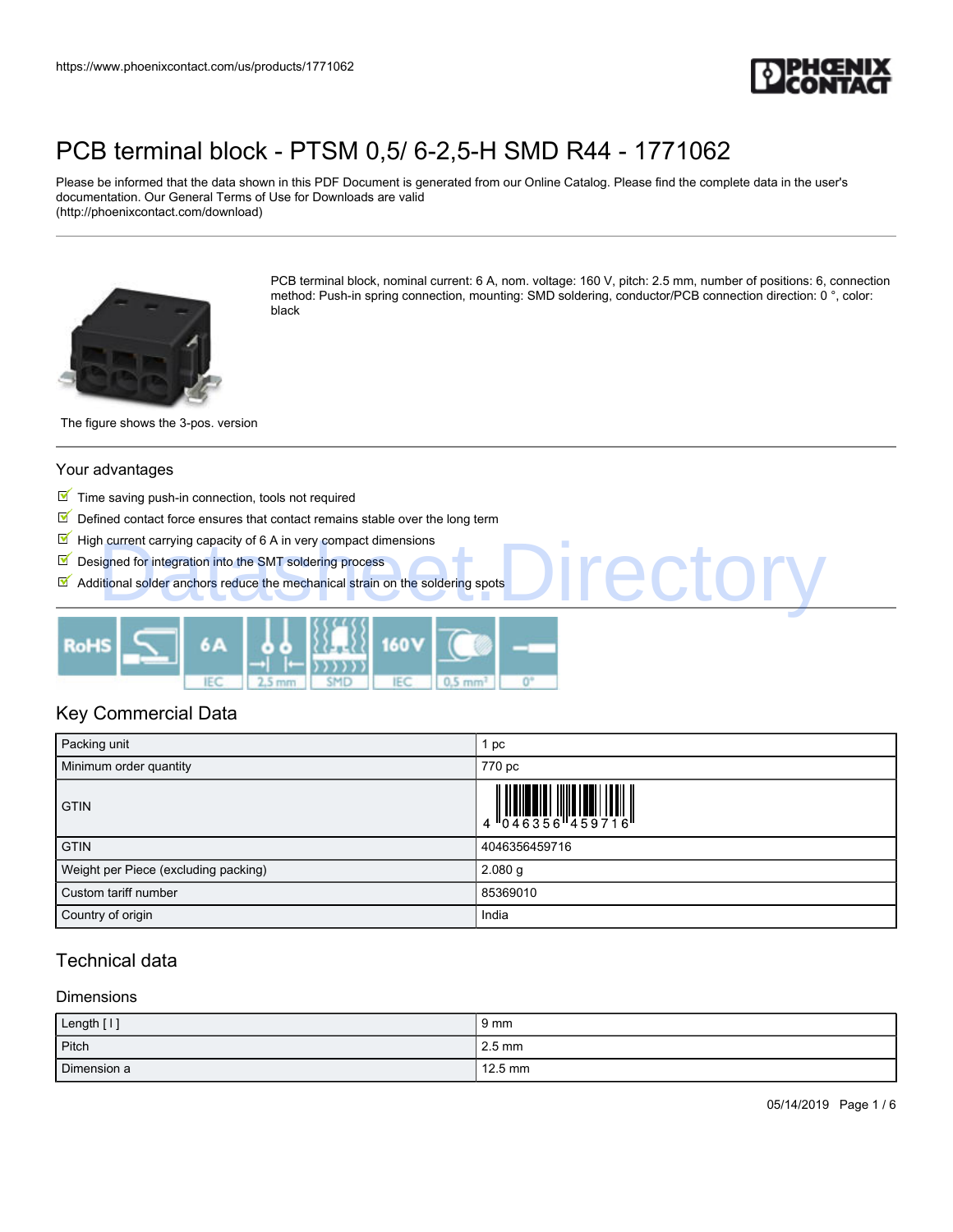

Please be informed that the data shown in this PDF Document is generated from our Online Catalog. Please find the complete data in the user's documentation. Our General Terms of Use for Downloads are valid (http://phoenixcontact.com/download)



PCB terminal block, nominal current: 6 A, nom. voltage: 160 V, pitch: 2.5 mm, number of positions: 6, connection method: Push-in spring connection, mounting: SMD soldering, conductor/PCB connection direction: 0 °, color: black

**I**recto

The figure shows the 3-pos. version

### Your advantages

- $\blacksquare$  Time saving push-in connection, tools not required
- $\boxed{\blacksquare}$  Defined contact force ensures that contact remains stable over the long term
- $\blacksquare$  High current carrying capacity of 6 A in very compact dimensions
- $\blacksquare$  Designed for integration into the SMT soldering process
- $\blacksquare$  Additional solder anchors reduce the mechanical strain on the soldering spots



### Key Commercial Data

| Packing unit                         | 1 pc          |
|--------------------------------------|---------------|
| Minimum order quantity               | 770 pc        |
| <b>GTIN</b>                          |               |
| <b>GTIN</b>                          | 4046356459716 |
| Weight per Piece (excluding packing) | $2.080$ g     |
| Custom tariff number                 | 85369010      |
| Country of origin                    | India         |

### Technical data

#### Dimensions

| Length [1]  | $9 \text{ mm}$   |
|-------------|------------------|
| Pitch       | $2.5 \text{ mm}$ |
| Dimension a | 12.5 mm          |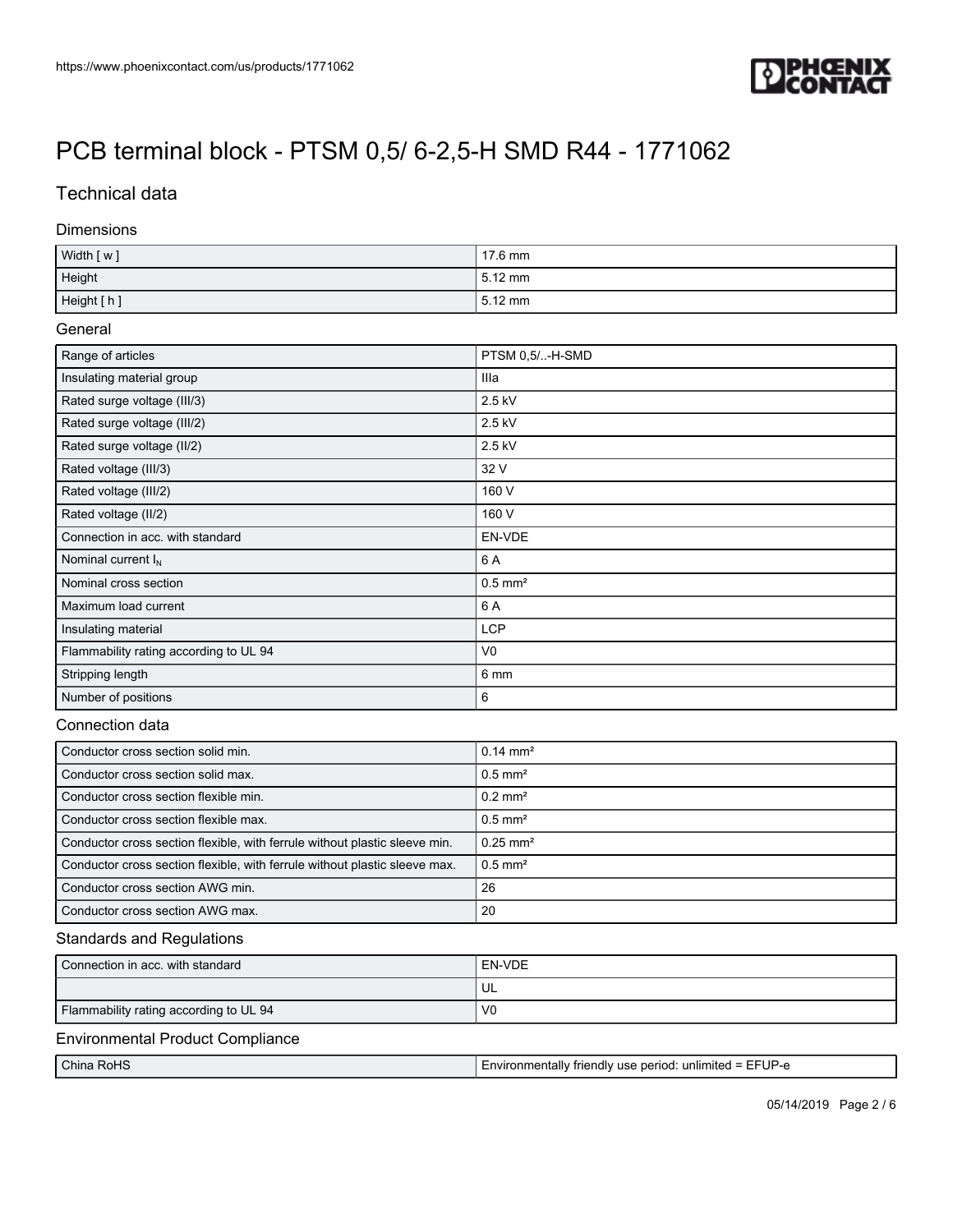

## Technical data

### Dimensions

| Width [w]  | $17.6$ mm |
|------------|-----------|
| Height     | l 5.12 mm |
| Height [h] | l 5.12 mm |

### General

| Range of articles                      | PTSM 0,5/-H-SMD       |
|----------------------------------------|-----------------------|
| Insulating material group              | Illa                  |
| Rated surge voltage (III/3)            | 2.5 kV                |
| Rated surge voltage (III/2)            | 2.5 kV                |
| Rated surge voltage (II/2)             | 2.5 kV                |
| Rated voltage (III/3)                  | 32 V                  |
| Rated voltage (III/2)                  | 160 V                 |
| Rated voltage (II/2)                   | 160 V                 |
| Connection in acc. with standard       | EN-VDE                |
| Nominal current $I_N$                  | 6 A                   |
| Nominal cross section                  | $0.5$ mm <sup>2</sup> |
| Maximum load current                   | 6 A                   |
| Insulating material                    | <b>LCP</b>            |
| Flammability rating according to UL 94 | V <sub>0</sub>        |
| Stripping length                       | 6 mm                  |
| Number of positions                    | 6                     |

### Connection data

| Conductor cross section solid min.                                         | $0.14 \text{ mm}^2$    |
|----------------------------------------------------------------------------|------------------------|
| Conductor cross section solid max.                                         | $0.5$ mm <sup>2</sup>  |
| Conductor cross section flexible min.                                      | $0.2 \text{ mm}^2$     |
| Conductor cross section flexible max.                                      | $0.5$ mm <sup>2</sup>  |
| Conductor cross section flexible, with ferrule without plastic sleeve min. | $0.25$ mm <sup>2</sup> |
| Conductor cross section flexible, with ferrule without plastic sleeve max. | $0.5$ mm <sup>2</sup>  |
| Conductor cross section AWG min.                                           | 26                     |
| Conductor cross section AWG max.                                           | 20                     |

### Standards and Regulations

| Connection in acc. with standard       | EN-VDE         |
|----------------------------------------|----------------|
|                                        | UL             |
| Flammability rating according to UL 94 | V <sub>0</sub> |

### Environmental Product Compliance

|                | - -                                                                                |
|----------------|------------------------------------------------------------------------------------|
| China<br>⊧RoHS | 'UΡ<br>∴unmentallv.<br>"miteo<br>triendly<br>unlim<br>period<br>use<br>- -<br>nv ' |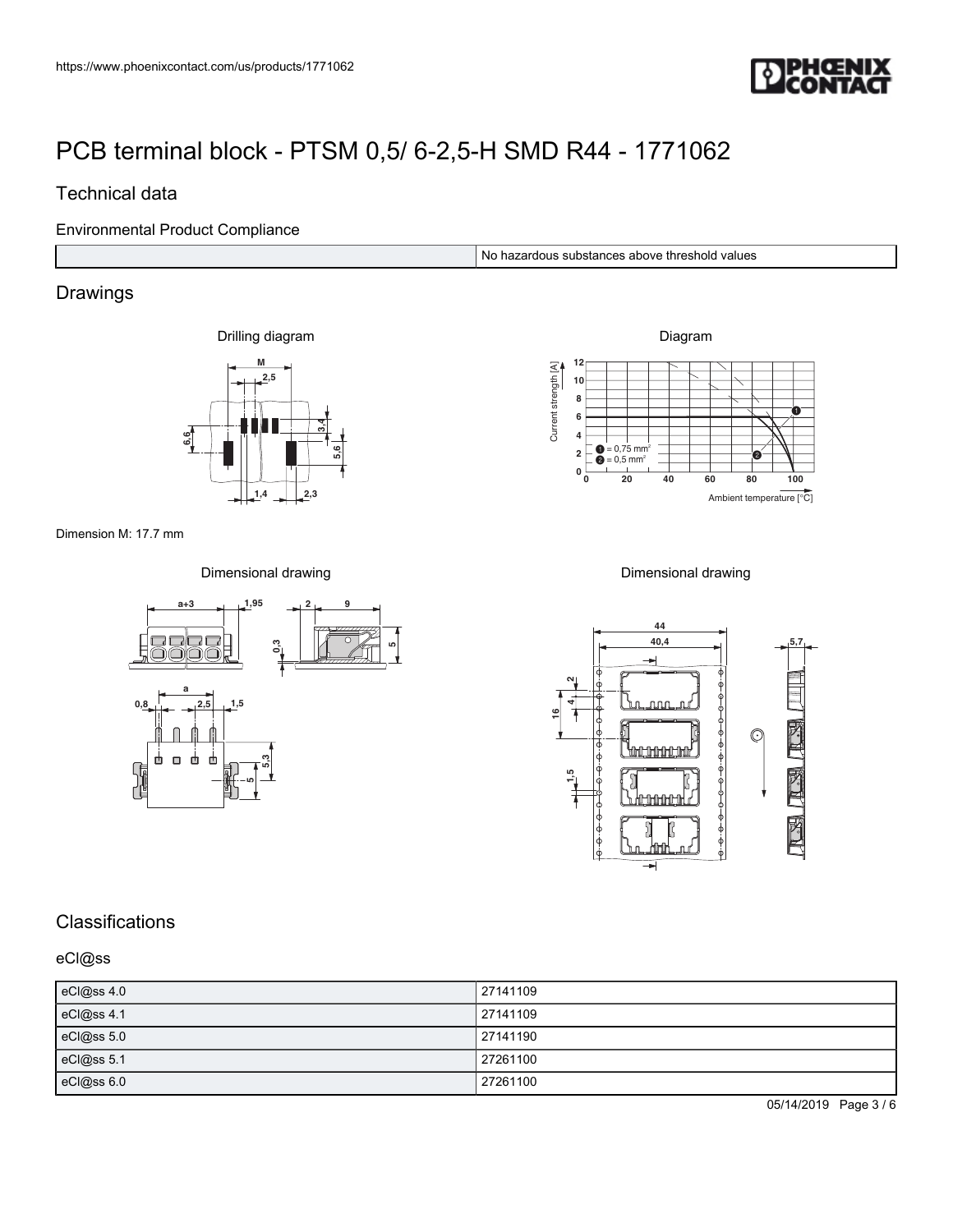

### Technical data

Environmental Product Compliance

No hazardous substances above threshold values

## Drawings

Drilling diagram



Diagram **0 20 40 60 80 100 12 8 4 0** 0 0 = 0,75 mm  $2 \left[ \bigoplus_{n=0}^{\infty} 2,5 \right]$  mm<sup>3</sup> **6 10**  $\bullet$ 0  $\frac{A}{\sqrt{2}}$ <br>  $\frac{B}{\sqrt{2}}$ <br>  $\frac{C}{\sqrt{2}}$ <br>  $\frac{C}{\sqrt{2}}$ <br>  $\frac{C}{\sqrt{2}}$ <br>  $\frac{C}{\sqrt{2}}$ <br>  $\frac{C}{\sqrt{2}}$ <br>  $\frac{C}{\sqrt{2}}$ <br>  $\frac{C}{\sqrt{2}}$ <br>  $\frac{C}{\sqrt{2}}$ <br>  $\frac{C}{\sqrt{2}}$ <br>  $\frac{C}{\sqrt{2}}$ <br>
Ambient temperature [°C]

Dimension M: 17.7 mm

Dimensional drawing



Dimensional drawing



## **Classifications**

eCl@ss

| eCl@ss 4.0 | 27141109 |
|------------|----------|
| eCl@ss 4.1 | 27141109 |
| eCl@ss 5.0 | 27141190 |
| eCl@ss 5.1 | 27261100 |
| eCl@ss 6.0 | 27261100 |

05/14/2019 Page 3 / 6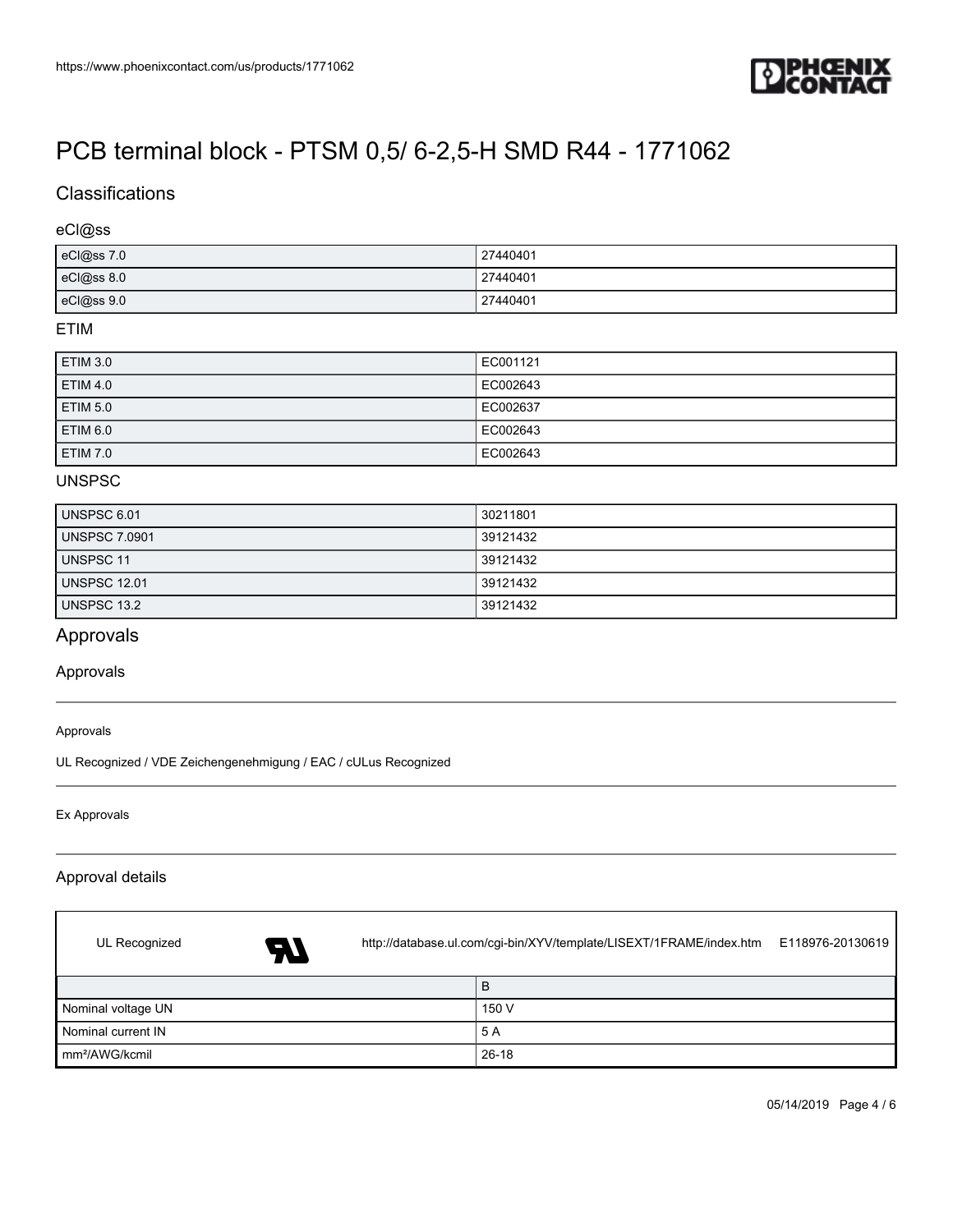

## **Classifications**

### eCl@ss

| eCl@ss 7.0 | 27440401 |
|------------|----------|
| eCl@ss 8.0 | 27440401 |
| eCl@ss 9.0 | 27440401 |

### ETIM

| ETIM 3.0        | EC001121 |
|-----------------|----------|
| ETIM 4.0        | EC002643 |
| ETIM 5.0        | EC002637 |
| <b>ETIM 6.0</b> | EC002643 |
| ETIM 7.0        | EC002643 |

### UNSPSC

| UNSPSC 6.01          | 30211801 |
|----------------------|----------|
| <b>UNSPSC 7.0901</b> | 39121432 |
| UNSPSC 11            | 39121432 |
| <b>UNSPSC 12.01</b>  | 39121432 |
| UNSPSC 13.2          | 39121432 |

## Approvals

Approvals

#### Approvals

UL Recognized / VDE Zeichengenehmigung / EAC / cULus Recognized

Ex Approvals

 $\sqrt{ }$ 

### Approval details

| UL Recognized              | AT | http://database.ul.com/cgi-bin/XYV/template/LISEXT/1FRAME/index.htm |       | E118976-20130619 |
|----------------------------|----|---------------------------------------------------------------------|-------|------------------|
|                            |    |                                                                     | B     |                  |
| Nominal voltage UN         |    |                                                                     | 150 V |                  |
| Nominal current IN         |    |                                                                     | 5 A   |                  |
| mm <sup>2</sup> /AWG/kcmil |    |                                                                     | 26-18 |                  |

٦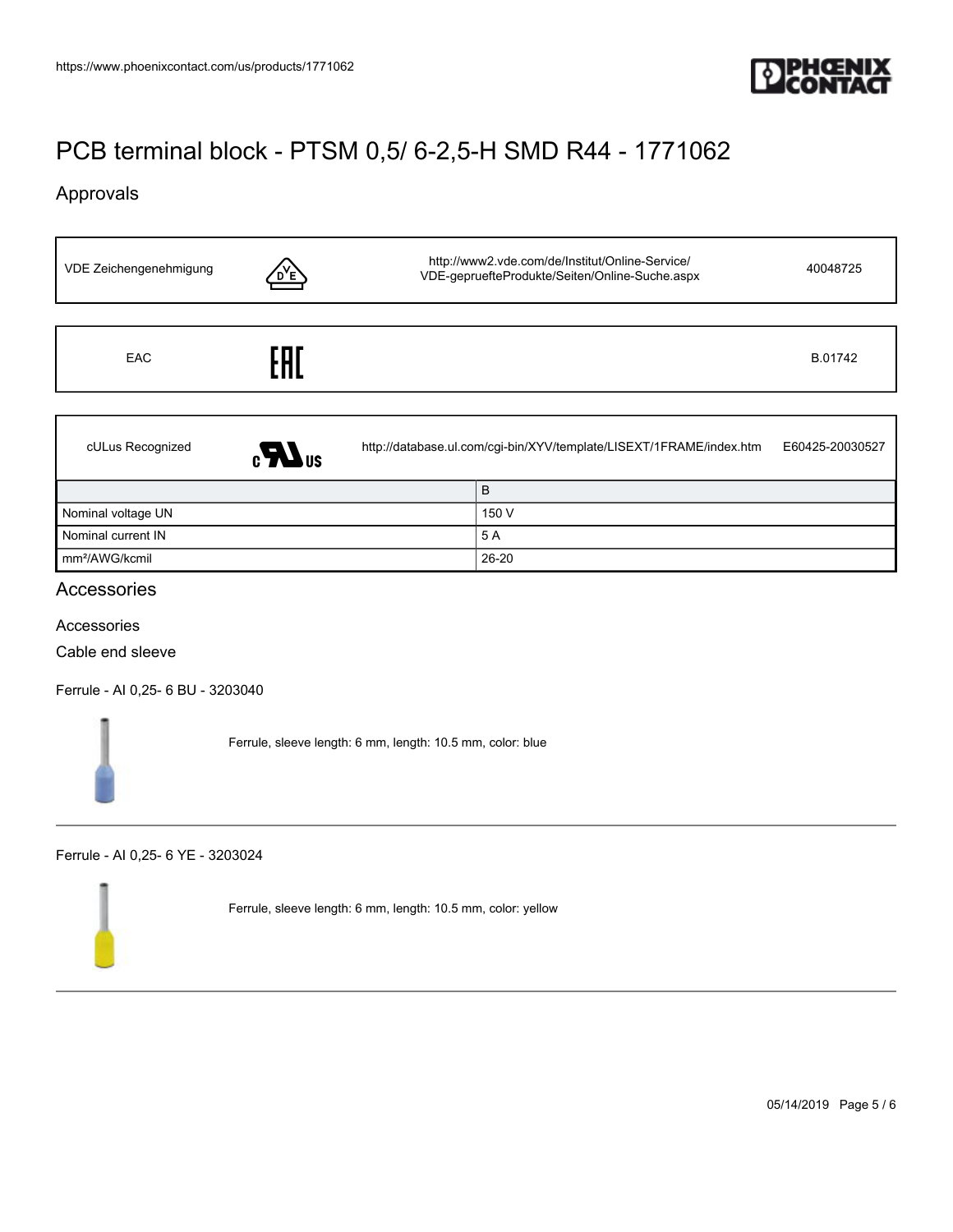

## Approvals

| VDE Zeichengenehmigung | Έ            | http://www2.vde.com/de/Institut/Online-Service/<br>VDE-gepruefteProdukte/Seiten/Online-Suche.aspx |       | 40048725        |
|------------------------|--------------|---------------------------------------------------------------------------------------------------|-------|-----------------|
|                        |              |                                                                                                   |       |                 |
| <b>EAC</b>             | EAI          |                                                                                                   |       | B.01742         |
|                        |              |                                                                                                   |       |                 |
| cULus Recognized       | $\mathbf{L}$ | http://database.ul.com/cgi-bin/XYV/template/LISEXT/1FRAME/index.htm                               |       | E60425-20030527 |
|                        |              |                                                                                                   | B     |                 |
| Nominal voltage UN     |              |                                                                                                   | 150 V |                 |
| Nominal current IN     |              |                                                                                                   | 5 A   |                 |

### Accessories

Accessories

Cable end sleeve

[Ferrule - AI 0,25- 6 BU - 3203040](https://www.phoenixcontact.com/us/products/3203040)

Ferrule, sleeve length: 6 mm, length: 10.5 mm, color: blue

mm²/AWG/kcmil 26-20

### [Ferrule - AI 0,25- 6 YE - 3203024](https://www.phoenixcontact.com/us/products/3203024)

Ferrule, sleeve length: 6 mm, length: 10.5 mm, color: yellow

05/14/2019 Page 5 / 6